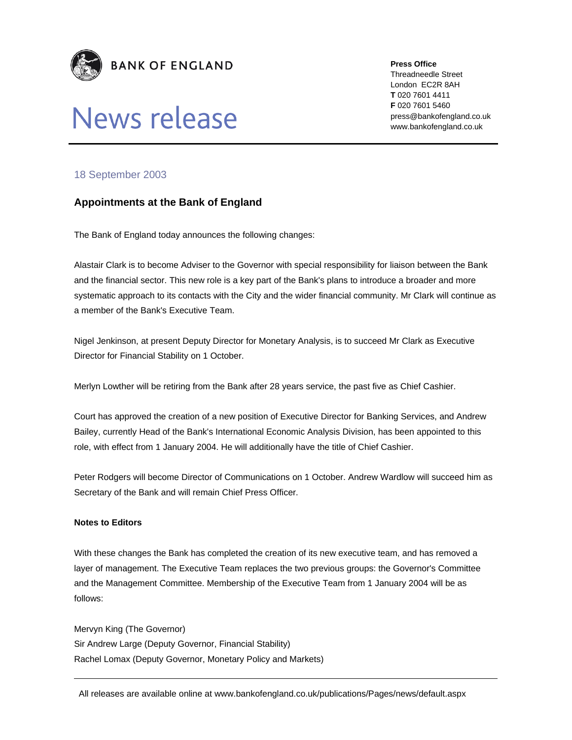



**Press Office** 

Threadneedle Street London EC2R 8AH **T** 020 7601 4411 **F** 020 7601 5460 press@bankofengland.co.uk www.bankofengland.co.uk

## 18 September 2003

## **Appointments at the Bank of England**

The Bank of England today announces the following changes:

Alastair Clark is to become Adviser to the Governor with special responsibility for liaison between the Bank and the financial sector. This new role is a key part of the Bank's plans to introduce a broader and more systematic approach to its contacts with the City and the wider financial community. Mr Clark will continue as a member of the Bank's Executive Team.

Nigel Jenkinson, at present Deputy Director for Monetary Analysis, is to succeed Mr Clark as Executive Director for Financial Stability on 1 October.

Merlyn Lowther will be retiring from the Bank after 28 years service, the past five as Chief Cashier.

Court has approved the creation of a new position of Executive Director for Banking Services, and Andrew Bailey, currently Head of the Bank's International Economic Analysis Division, has been appointed to this role, with effect from 1 January 2004. He will additionally have the title of Chief Cashier.

Peter Rodgers will become Director of Communications on 1 October. Andrew Wardlow will succeed him as Secretary of the Bank and will remain Chief Press Officer.

## **Notes to Editors**

With these changes the Bank has completed the creation of its new executive team, and has removed a layer of management. The Executive Team replaces the two previous groups: the Governor's Committee and the Management Committee. Membership of the Executive Team from 1 January 2004 will be as follows:

Mervyn King (The Governor) Sir Andrew Large (Deputy Governor, Financial Stability) Rachel Lomax (Deputy Governor, Monetary Policy and Markets)